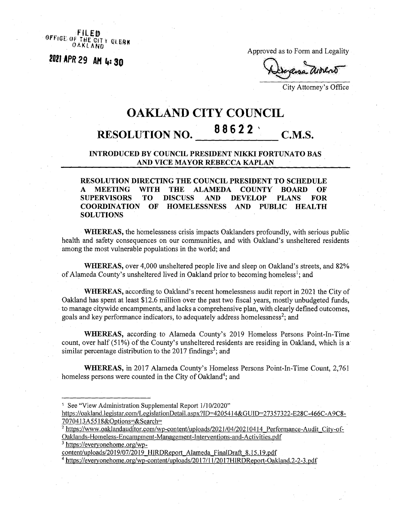**OFFIGE OF <sup>0</sup> <sup>A</sup> <sup>K</sup>***i***<sup>A</sup> NO** THE CITY OLERK

*mm29 <sup>m</sup>* **(,=so**

Approved as to Form and Legality

City Attorney's Office

## **OAKLAND CITY COUNCIL 88622 ' RESOLUTION NO. C.M.S.**

## **INTRODUCED BY COUNCIL PRESIDENT NIKKI FORTUNATO BAS AND VICE MAYOR REBECCA KAPLAN**

**RESOLUTION DIRECTING THE COUNCIL PRESIDENT TO SCHEDULE A MEETING WITH THE ALAMEDA COUNTY BOARD OF SUPERVISORS TO DISCUSS AND DEVELOP PLANS FOR HOMELESSNESS SOLUTIONS**

**WHEREAS,** the homelessness crisis impacts Oaklanders profoundly, with serious public health and safety consequences on our communities, and with Oakland's unsheltered residents among the most vulnerable populations in the world; and

**WHEREAS,** over 4,000 unsheltered people live and sleep on Oakland's streets, and 82% of Alameda County's unsheltered lived in Oakland prior to becoming homeless<sup>1</sup>; and

**WHEREAS,** according to Oakland's recent homelessness audit report in 2021 the City of Oakland has spent at least \$12.6 million over the past two fiscal years, mostly unbudgeted funds, to manage citywide encampments, and lacks a comprehensive plan, with clearly defined outcomes, goals and key performance indicators, to adequately address homelessness<sup>2</sup>; and

**WHEREAS,** according to Alameda County's 2019 Homeless Persons Point-In-Time count, over half (51%) of the County's unsheltered residents are residing in Oakland, which is a similar percentage distribution to the 2017 findings<sup>3</sup>; and

**WHEREAS,** in 2017 Alameda County's Homeless Persons Point-In-Time Count, 2,761 homeless persons were counted in the City of Oakland<sup>4</sup>; and

- <sup>1</sup> See "View Administration Supplemental Report 1/10/2020"
- https://oakland.legistar.com/LegislationDetail.aspx?ID=4205414&GUID=27357322-E28C-466C-A9C8-7070413A5518&Options=&Search=
- <sup>2</sup> https://www.oaklandauditor.com/wp-content/uploads/2021/04/20210414 Performance-Audit City-of-Oaklands-Homeless-Encampment-Management-Interventions-and-Activities.pdf
- <sup>3</sup> <https://evervonehome.org/wp->

content/uploads/2019/07/2019 HIRDReport Alameda FinalDraft 8.15.19.pdf

<sup>4</sup> https://everyonehome.org/wp-content/uploads/2017/11/2017HIRDReport-Oakland.2-2-3.pdf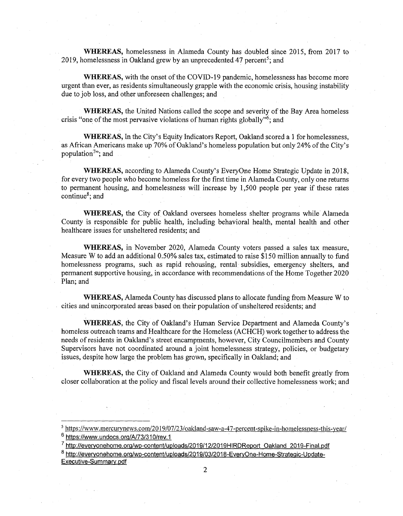**WHEREAS,** homelessness in Alameda County has doubled since 2015, from 2017 to 2019, homelessness in Oakland grew by an unprecedented 47 percent<sup>5</sup>; and

**WHEREAS,** with the onset of the COVID-19 pandemic, homelessness has become more urgent than ever, as residents simultaneously grapple with the economic crisis, housing instability due to job loss, and other unforeseen challenges; and

**WHEREAS,** the United Nations called the scope and severity of the Bay Area homeless crisis "one of the most pervasive violations of human rights globally"<sup>6</sup>; and

**WHEREAS,** In the City's Equity Indicators Report, Oakland scored a <sup>1</sup> for homelessness, as African Americans make up 70% of Oakland's homeless population but only 24% of the City's population $7$ ; and

**WHEREAS,** according to Alameda County's EveryOne Home Strategic Update in 2018, for every two people who become homeless for the first time in Alameda County, only one returns to permanent housing, and homelessness will increase by 1,500 people per year if these rates continue8; and

**WHEREAS,** the City of Oakland oversees homeless shelter programs while Alameda County is responsible for public health, including behavioral health, mental health and other healthcare issues for unsheltered residents; and

**WHEREAS,** in November 2020, Alameda County voters passed a sales tax measure, Measure W to add an additional 0.50% sales tax, estimated to raise \$150 million annually to fund homelessness programs, such as rapid rehousing, rental subsidies, emergency shelters, and permanent supportive housing, in accordance with recommendations ofthe Home Together 2020 Plan; and

**WHEREAS,** Alameda County has discussed plans to allocate funding from Measure W to cities and unincorporated areas based on their population of unsheltered residents; and

**WHEREAS,** the City of Oakland's Human Service Department and Alameda County's homeless outreach teams and Healthcare for the Homeless (ACHCH) work together to address the needs ofresidents in Oakland's street encampments, however, City Councilmembers and County Supervisors have not coordinated around a joint homelessness strategy, policies, or budgetary issues, despite how large the problem has grown, specifically in Oakland; and

**WHEREAS,** the City of Oakland and Alameda County would both benefit greatly from closer collaboration at the policy and fiscal levels around their collective homelessness work; and

<sup>5</sup> <https://www.mercurvnews.com/2Q19/07/23/oakland-saw-a-47-percent-spike-in-homelessness-this-vear/>

<sup>&</sup>lt;sup>o</sup> https://www.undocs.org/A/73/310/rev.1 7 [http://evervonehome.org/wp-content/uploads/2019/12/2019HlRDReport](http://evervonehome.org/wp-content/uploads/2019/12/2019HlRDReport_Oakland_2019-Final.pdf) Oakland 2019-Final.pdf

<sup>&</sup>lt;sup>8</sup> http://everyonehome.org/wp-content/uploads/2019/03/2018-EveryOne-Home-Strategic-Update-Executive-Summarv.pdf